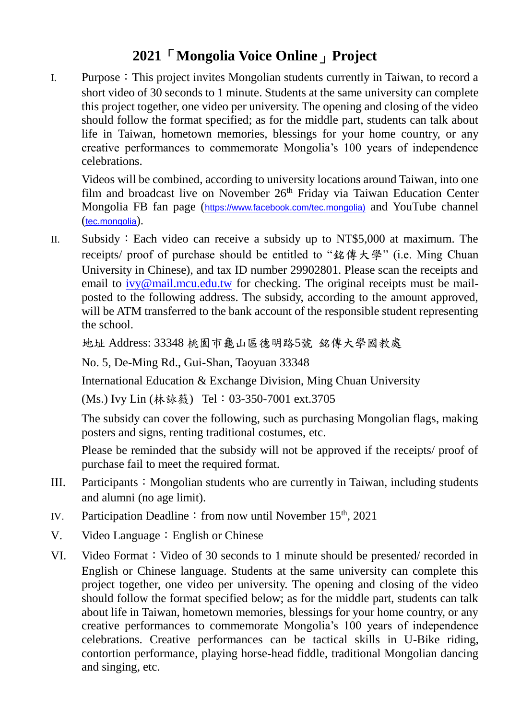## **2021**「**Mongolia Voice Online**」**Project**

I. Purpose:This project invites Mongolian students currently in Taiwan, to record a short video of 30 seconds to 1 minute. Students at the same university can complete this project together, one video per university. The opening and closing of the video should follow the format specified; as for the middle part, students can talk about life in Taiwan, hometown memories, blessings for your home country, or any creative performances to commemorate Mongolia's 100 years of independence celebrations.

Videos will be combined, according to university locations around Taiwan, into one film and broadcast live on November  $26<sup>th</sup>$  Friday via Taiwan Education Center Mongolia FB fan page ([https://www.facebook.com/tec.mongolia\)](https://www.facebook.com/tec.mongolia/?ref=bookmarks) and YouTube channel (tec.mongolia).

II. Subsidy:Each video can receive a subsidy up to NT\$5,000 at maximum. The receipts/ proof of purchase should be entitled to "銘傳大學" (i.e. Ming Chuan University in Chinese), and tax ID number 29902801. Please scan the receipts and email to [ivy@mail.mcu.edu.tw](mailto:ivy@mail.mcu.edu.tw) for checking. The original receipts must be mailposted to the following address. The subsidy, according to the amount approved, will be ATM transferred to the bank account of the responsible student representing the school.

地址 Address: 33348 桃園市龜山區德明路5號 銘傳大學國教處

No. 5, De-Ming Rd., Gui-Shan, Taoyuan 33348

International Education & Exchange Division, Ming Chuan University

(Ms.) Ivy Lin (林詠薇) Tel:03-350-7001 ext.3705

The subsidy can cover the following, such as purchasing Mongolian flags, making posters and signs, renting traditional costumes, etc.

Please be reminded that the subsidy will not be approved if the receipts/ proof of purchase fail to meet the required format.

- III. Participants: Mongolian students who are currently in Taiwan, including students and alumni (no age limit).
- IV. Participation Deadline: from now until November  $15<sup>th</sup>$ , 2021
- V. Video Language: English or Chinese
- VI. Video Format: Video of 30 seconds to 1 minute should be presented/ recorded in English or Chinese language. Students at the same university can complete this project together, one video per university. The opening and closing of the video should follow the format specified below; as for the middle part, students can talk about life in Taiwan, hometown memories, blessings for your home country, or any creative performances to commemorate Mongolia's 100 years of independence celebrations. Creative performances can be tactical skills in U-Bike riding, contortion performance, playing horse-head fiddle, traditional Mongolian dancing and singing, etc.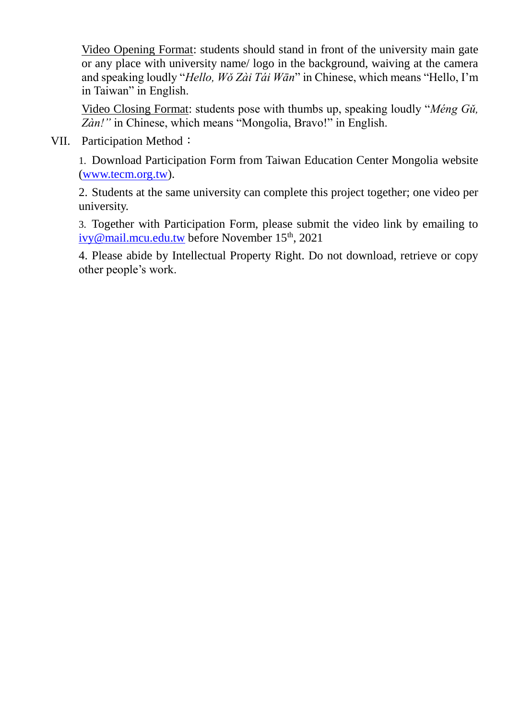Video Opening Format: students should stand in front of the university main gate or any place with university name/ logo in the background, waiving at the camera and speaking loudly "*Hello, Wǒ Zài Tái Wān*" in Chinese, which means "Hello, I'm in Taiwan" in English.

Video Closing Format: students pose with thumbs up, speaking loudly "*Méng Gǔ, Zàn!"* in Chinese, which means "Mongolia, Bravo!" in English.

VII. Participation Method:

1. Download Participation Form from Taiwan Education Center Mongolia website [\(www.tecm.org.tw\)](http://www.tecm.org.tw/).

2. Students at the same university can complete this project together; one video per university.

3. Together with Participation Form, please submit the video link by emailing to [ivy@mail.mcu.edu.tw](mailto:ivy@mail.mcu.edu.tw) before November 15<sup>th</sup>, 2021

4. Please abide by Intellectual Property Right. Do not download, retrieve or copy other people's work.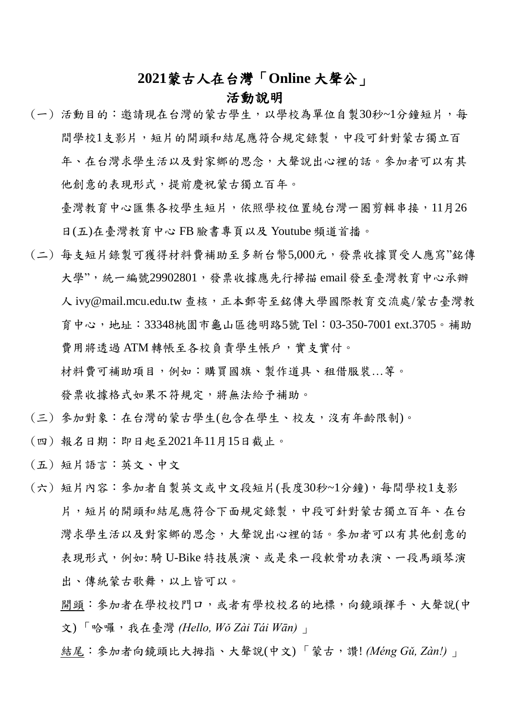## **2021**蒙古人在台灣「**Online** 大聲公」

## 活動說明

(一) 活動目的:邀請現在台灣的蒙古學生,以學校為單位自製30秒~1分鐘短片,每 間學校1支影片,短片的開頭和結尾應符合規定錄製,中段可針對蒙古獨立百 年、在台灣求學生活以及對家鄉的思念,大聲說出心裡的話。參加者可以有其 他創意的表現形式,提前慶祝蒙古獨立百年。

臺灣教育中心匯集各校學生短片,依照學校位置繞台灣一圈剪輯串接,11月26 日(五)在臺灣教育中心 FB 臉書專頁以及 Youtube 頻道首播。

- (二) 每支短片錄製可獲得材料費補助至多新台幣5,000元,發票收據買受人應寫"銘傳 大學",統一編號29902801,發票收據應先行掃描 email 發至臺灣教育中心承辦 人 ivv@mail.mcu.edu.tw 查核,正本郵寄至銘傳大學國際教育交流處/蒙古臺灣教 育中心,地址:33348桃園市龜山區德明路5號 Tel:03-350-7001 ext.3705。補助 費用將透過 ATM 轉帳至各校負責學生帳戶,實支實付。 材料費可補助項目,例如:購買國旗、製作道具、租借服裝…等。 發票收據格式如果不符規定,將無法給予補助。
- (三) 參加對象:在台灣的蒙古學生(包含在學生、校友,沒有年齡限制)。
- (四) 報名日期:即日起至2021年11月15日截止。
- (五) 短片語言:英文、中文
- (六) 短片內容:參加者自製英文或中文段短片(長度30秒~1分鐘),每間學校1支影 片,短片的開頭和結尾應符合下面規定錄製,中段可針對蒙古獨立百年、在台 灣求學生活以及對家鄉的思念,大聲說出心裡的話。參加者可以有其他創意的 表現形式,例如:騎 U-Bike 特技展演、或是來一段軟骨功表演、一段馬頭琴演 出、傳統蒙古歌舞,以上皆可以。
	- 開頭:參加者在學校校有學校校名的地標,向鏡頭揮手、大聲說(中 文) 「哈囉,我在臺灣 *(Hello, Wǒ Zài Tái Wān)* 」
	- 結尾:參加者向鏡頭比大拇指、大聲說(中文) 「蒙古,讚! *(Méng Gǔ, Zàn!)* 」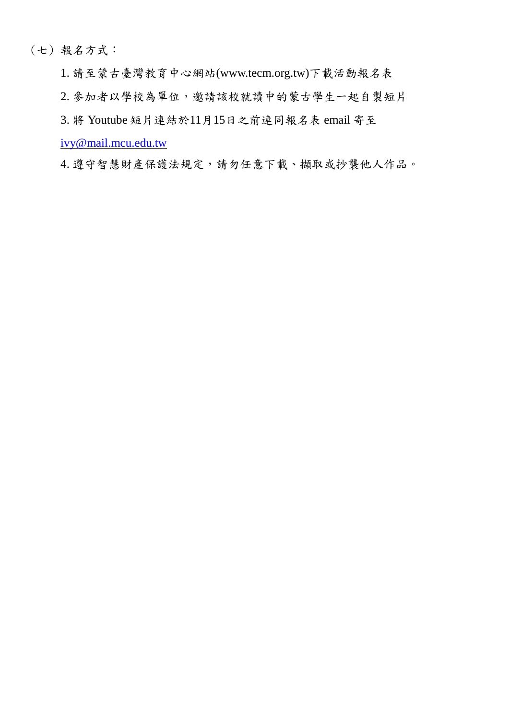(七) 報名方式:

1. 請至蒙古臺灣教育中心網站(www.tecm.org.tw)下載活動報名表

2. 參加者以學校為單位,邀請該校就讀中的蒙古學生一起自製短片

3. 將 Youtube 短片連結於11月15日之前連同報名表 email 寄至

[ivy@mail.mcu.edu.tw](mailto:ivy@mail.mcu.edu.tw)

4. 遵守智慧財產保護法規定,請勿任意下載、擷取或抄襲他人作品。